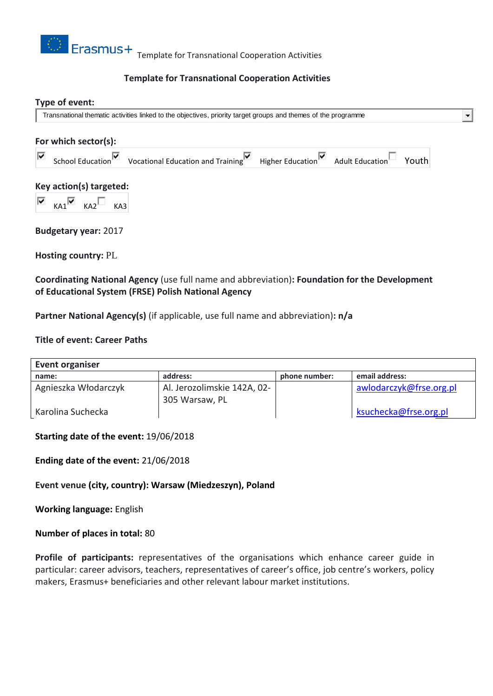

# **Template for Transnational Cooperation Activities**

### **Type of event:**

Transnational thematic activities linked to the objectives, priority target groups and themes of the programme

| For which sector(s):    |                                           |                                                                                             |  |  |  |  |  |  |
|-------------------------|-------------------------------------------|---------------------------------------------------------------------------------------------|--|--|--|--|--|--|
| ∨                       |                                           | School Education V vocational Education and Training Higher Education Adult Education Vouth |  |  |  |  |  |  |
| Key action(s) targeted: |                                           |                                                                                             |  |  |  |  |  |  |
|                         | $\overline{K}$ KA1 $\overline{K}$ KA2 KA3 |                                                                                             |  |  |  |  |  |  |

 $\blacksquare$ 

**Budgetary year:** 2017

**Hosting country:** PL

**Coordinating National Agency** (use full name and abbreviation)**: Foundation for the Development of Educational System (FRSE) Polish National Agency**

**Partner National Agency(s)** (if applicable, use full name and abbreviation)**: n/a**

### **Title of event: Career Paths**

| Event organiser      |                             |               |                         |  |  |  |  |  |
|----------------------|-----------------------------|---------------|-------------------------|--|--|--|--|--|
| name:                | address:                    | phone number: | email address:          |  |  |  |  |  |
| Agnieszka Włodarczyk | Al. Jerozolimskie 142A, 02- |               | awlodarczyk@frse.org.pl |  |  |  |  |  |
|                      | 305 Warsaw, PL              |               |                         |  |  |  |  |  |
| Karolina Suchecka    |                             |               | ksuchecka@frse.org.pl   |  |  |  |  |  |

#### **Starting date of the event:** 19/06/2018

**Ending date of the event:** 21/06/2018

**Event venue (city, country): Warsaw (Miedzeszyn), Poland**

**Working language:** English

#### **Number of places in total:** 80

**Profile of participants:** representatives of the organisations which enhance career guide in particular: career advisors, teachers, representatives of career's office, job centre's workers, policy makers, Erasmus+ beneficiaries and other relevant labour market institutions.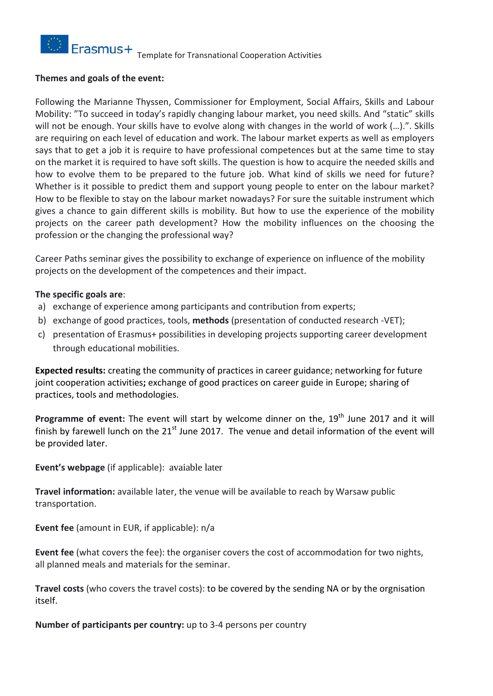

### **Themes and goals of the event:**

Following the Marianne Thyssen, Commissioner for Employment, Social Affairs, Skills and Labour Mobility: "To succeed in today's rapidly changing labour market, you need skills. And "static" skills will not be enough. Your skills have to evolve along with changes in the world of work (...).". Skills are requiring on each level of education and work. The labour market experts as well as employers says that to get a job it is require to have professional competences but at the same time to stay on the market it is required to have soft skills. The question is how to acquire the needed skills and how to evolve them to be prepared to the future job. What kind of skills we need for future? Whether is it possible to predict them and support young people to enter on the labour market? How to be flexible to stay on the labour market nowadays? For sure the suitable instrument which gives a chance to gain different skills is mobility. But how to use the experience of the mobility projects on the career path development? How the mobility influences on the choosing the profession or the changing the professional way?

Career Paths seminar gives the possibility to exchange of experience on influence of the mobility projects on the development of the competences and their impact.

## **The specific goals are**:

- a) exchange of experience among participants and contribution from experts;
- b) exchange of good practices, tools, **methods** (presentation of conducted research -VET);
- c) presentation of Erasmus+ possibilities in developing projects supporting career development through educational mobilities.

**Expected results:** creating the community of practices in career guidance; networking for future joint cooperation activities**;** exchange of good practices on career guide in Europe; sharing of practices, tools and methodologies.

**Programme of event:** The event will start by welcome dinner on the, 19<sup>th</sup> June 2017 and it will finish by farewell lunch on the  $21<sup>st</sup>$  June 2017. The venue and detail information of the event will be provided later.

**Event's webpage** (if applicable): avaiable later

**Travel information:** available later, the venue will be available to reach by Warsaw public transportation.

**Event fee** (amount in EUR, if applicable): n/a

**Event fee** (what covers the fee): the organiser covers the cost of accommodation for two nights, all planned meals and materials for the seminar.

**Travel costs** (who covers the travel costs): to be covered by the sending NA or by the orgnisation itself.

**Number of participants per country:** up to 3-4 persons per country